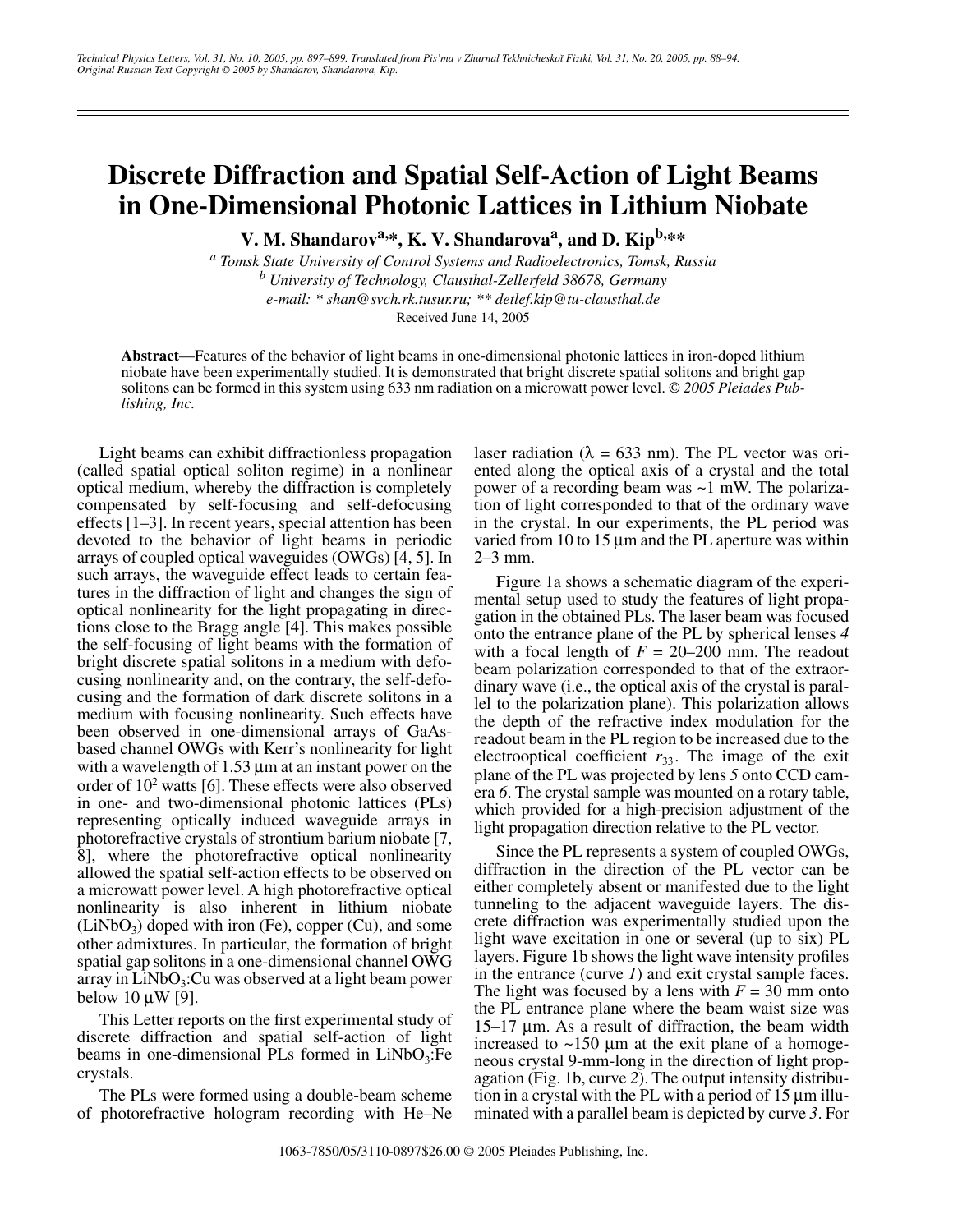## **Discrete Diffraction and Spatial Self-Action of Light Beams in One-Dimensional Photonic Lattices in Lithium Niobate**

**V. M. Shandarov<sup>a,\*</sup>, K. V. Shandarova<sup>a</sup>, and D. Kip<sup>b,\*\*</sup>** 

*a Tomsk State University of Control Systems and Radioelectronics, Tomsk, Russia b University of Technology, Clausthal-Zellerfeld 38678, Germany e-mail: \* shan@svch.rk.tusur.ru; \*\* detlef.kip@tu-clausthal.de* Received June 14, 2005

**Abstract**—Features of the behavior of light beams in one-dimensional photonic lattices in iron-doped lithium niobate have been experimentally studied. It is demonstrated that bright discrete spatial solitons and bright gap solitons can be formed in this system using 633 nm radiation on a microwatt power level. *© 2005 Pleiades Publishing, Inc.*

Light beams can exhibit diffractionless propagation (called spatial optical soliton regime) in a nonlinear optical medium, whereby the diffraction is completely compensated by self-focusing and self-defocusing effects [1–3]. In recent years, special attention has been devoted to the behavior of light beams in periodic arrays of coupled optical waveguides (OWGs) [4, 5]. In such arrays, the waveguide effect leads to certain features in the diffraction of light and changes the sign of optical nonlinearity for the light propagating in directions close to the Bragg angle [4]. This makes possible the self-focusing of light beams with the formation of bright discrete spatial solitons in a medium with defocusing nonlinearity and, on the contrary, the self-defocusing and the formation of dark discrete solitons in a medium with focusing nonlinearity. Such effects have been observed in one-dimensional arrays of GaAsbased channel OWGs with Kerr's nonlinearity for light with a wavelength of 1.53  $\mu$ m at an instant power on the order of 102 watts [6]. These effects were also observed in one- and two-dimensional photonic lattices (PLs) representing optically induced waveguide arrays in photorefractive crystals of strontium barium niobate [7, 8], where the photorefractive optical nonlinearity allowed the spatial self-action effects to be observed on a microwatt power level. A high photorefractive optical nonlinearity is also inherent in lithium niobate  $(LiNbO<sub>3</sub>)$  doped with iron (Fe), copper (Cu), and some other admixtures. In particular, the formation of bright spatial gap solitons in a one-dimensional channel OWG array in  $LiNbO<sub>3</sub>:Cu$  was observed at a light beam power below  $10 \mu W$  [9].

This Letter reports on the first experimental study of discrete diffraction and spatial self-action of light beams in one-dimensional PLs formed in  $LiNbO<sub>3</sub>:Fe$ crystals.

The PLs were formed using a double-beam scheme of photorefractive hologram recording with He–Ne laser radiation ( $\lambda = 633$  nm). The PL vector was oriented along the optical axis of a crystal and the total power of a recording beam was ~1 mW. The polarization of light corresponded to that of the ordinary wave in the crystal. In our experiments, the PL period was varied from 10 to 15  $\mu$ m and the PL aperture was within 2–3 mm.

Figure 1a shows a schematic diagram of the experimental setup used to study the features of light propagation in the obtained PLs. The laser beam was focused onto the entrance plane of the PL by spherical lenses *4* with a focal length of  $F = 20-200$  mm. The readout beam polarization corresponded to that of the extraordinary wave (i.e., the optical axis of the crystal is parallel to the polarization plane). This polarization allows the depth of the refractive index modulation for the readout beam in the PL region to be increased due to the electrooptical coefficient  $r_{33}$ . The image of the exit plane of the PL was projected by lens *5* onto CCD camera *6*. The crystal sample was mounted on a rotary table, which provided for a high-precision adjustment of the light propagation direction relative to the PL vector.

Since the PL represents a system of coupled OWGs, diffraction in the direction of the PL vector can be either completely absent or manifested due to the light tunneling to the adjacent waveguide layers. The discrete diffraction was experimentally studied upon the light wave excitation in one or several (up to six) PL layers. Figure 1b shows the light wave intensity profiles in the entrance (curve *1*) and exit crystal sample faces. The light was focused by a lens with  $F = 30$  mm onto the PL entrance plane where the beam waist size was 15–17 µm. As a result of diffraction, the beam width increased to  $\sim$ 150 µm at the exit plane of a homogeneous crystal 9-mm-long in the direction of light propagation (Fig. 1b, curve *2*). The output intensity distribution in a crystal with the PL with a period of 15 µm illuminated with a parallel beam is depicted by curve *3*. For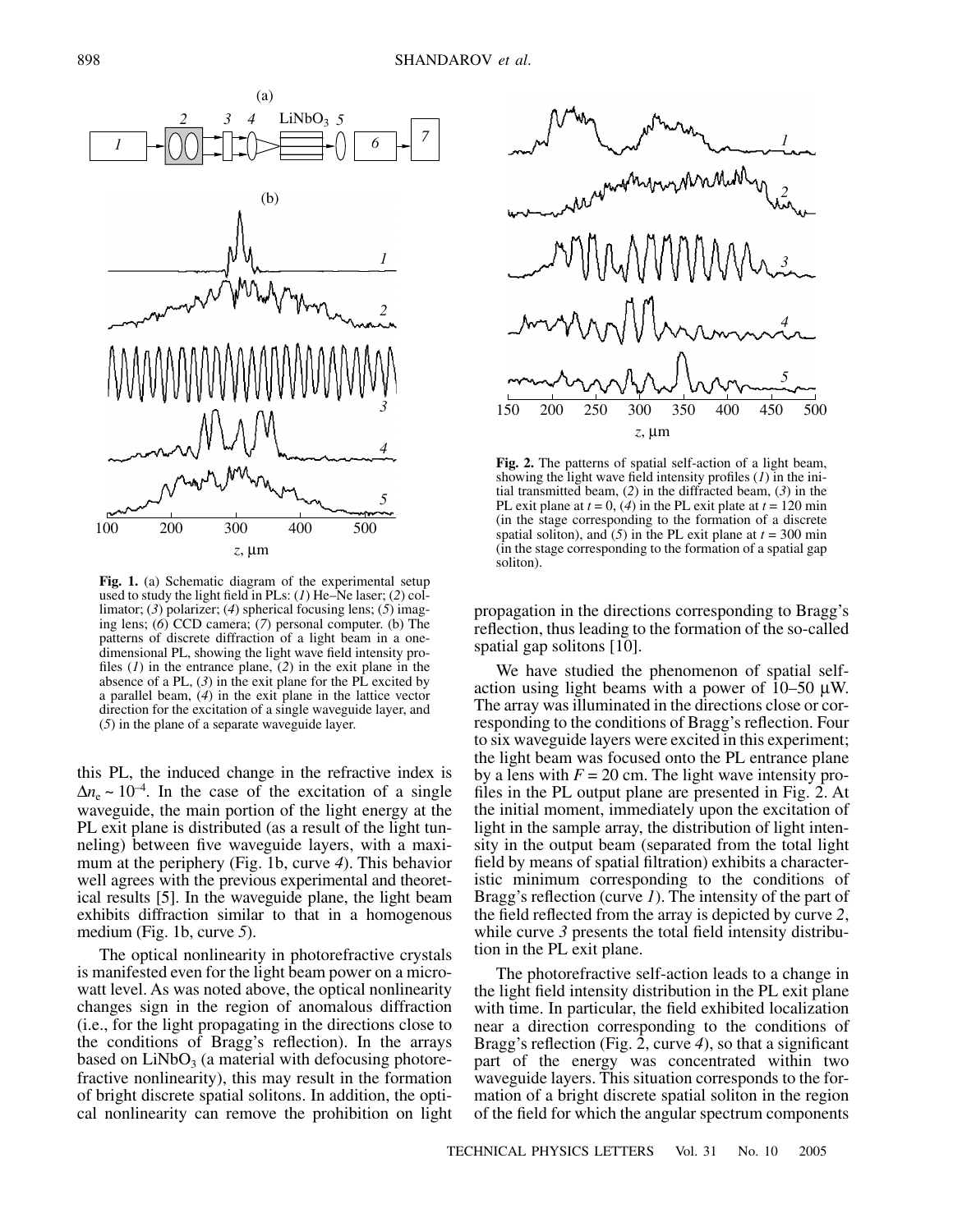



**Fig. 1.** (a) Schematic diagram of the experimental setup used to study the light field in PLs: (*1*) He–Ne laser; (*2*) collimator; (*3*) polarizer; (*4*) spherical focusing lens; (*5*) imaging lens; (*6*) CCD camera; (*7*) personal computer. (b) The patterns of discrete diffraction of a light beam in a onedimensional PL, showing the light wave field intensity profiles (*1*) in the entrance plane, (*2*) in the exit plane in the absence of a PL, (*3*) in the exit plane for the PL excited by a parallel beam, (*4*) in the exit plane in the lattice vector direction for the excitation of a single waveguide layer, and (*5*) in the plane of a separate waveguide layer.

this PL, the induced change in the refractive index is  $\Delta n_e \sim 10^{-4}$ . In the case of the excitation of a single waveguide, the main portion of the light energy at the PL exit plane is distributed (as a result of the light tunneling) between five waveguide layers, with a maximum at the periphery (Fig. 1b, curve *4*). This behavior well agrees with the previous experimental and theoretical results [5]. In the waveguide plane, the light beam exhibits diffraction similar to that in a homogenous medium (Fig. 1b, curve *5*).

The optical nonlinearity in photorefractive crystals is manifested even for the light beam power on a microwatt level. As was noted above, the optical nonlinearity changes sign in the region of anomalous diffraction (i.e., for the light propagating in the directions close to the conditions of Bragg's reflection). In the arrays based on  $LiNbO<sub>3</sub>$  (a material with defocusing photorefractive nonlinearity), this may result in the formation of bright discrete spatial solitons. In addition, the optical nonlinearity can remove the prohibition on light



**Fig. 2.** The patterns of spatial self-action of a light beam, showing the light wave field intensity profiles (*1*) in the initial transmitted beam, (*2*) in the diffracted beam, (*3*) in the PL exit plane at  $t = 0$ , (4) in the PL exit plate at  $t = 120$  min (in the stage corresponding to the formation of a discrete spatial soliton), and  $(5)$  in the PL exit plane at  $t = 300$  min (in the stage corresponding to the formation of a spatial gap soliton).

propagation in the directions corresponding to Bragg's reflection, thus leading to the formation of the so-called spatial gap solitons [10].

We have studied the phenomenon of spatial selfaction using light beams with a power of 10–50 µW. The array was illuminated in the directions close or corresponding to the conditions of Bragg's reflection. Four to six waveguide layers were excited in this experiment; the light beam was focused onto the PL entrance plane by a lens with  $F = 20$  cm. The light wave intensity profiles in the PL output plane are presented in Fig. 2. At the initial moment, immediately upon the excitation of light in the sample array, the distribution of light intensity in the output beam (separated from the total light field by means of spatial filtration) exhibits a characteristic minimum corresponding to the conditions of Bragg's reflection (curve *1*). The intensity of the part of the field reflected from the array is depicted by curve *2*, while curve 3 presents the total field intensity distribution in the PL exit plane.

The photorefractive self-action leads to a change in the light field intensity distribution in the PL exit plane with time. In particular, the field exhibited localization near a direction corresponding to the conditions of Bragg's reflection (Fig. 2, curve *4*), so that a significant part of the energy was concentrated within two waveguide layers. This situation corresponds to the formation of a bright discrete spatial soliton in the region of the field for which the angular spectrum components